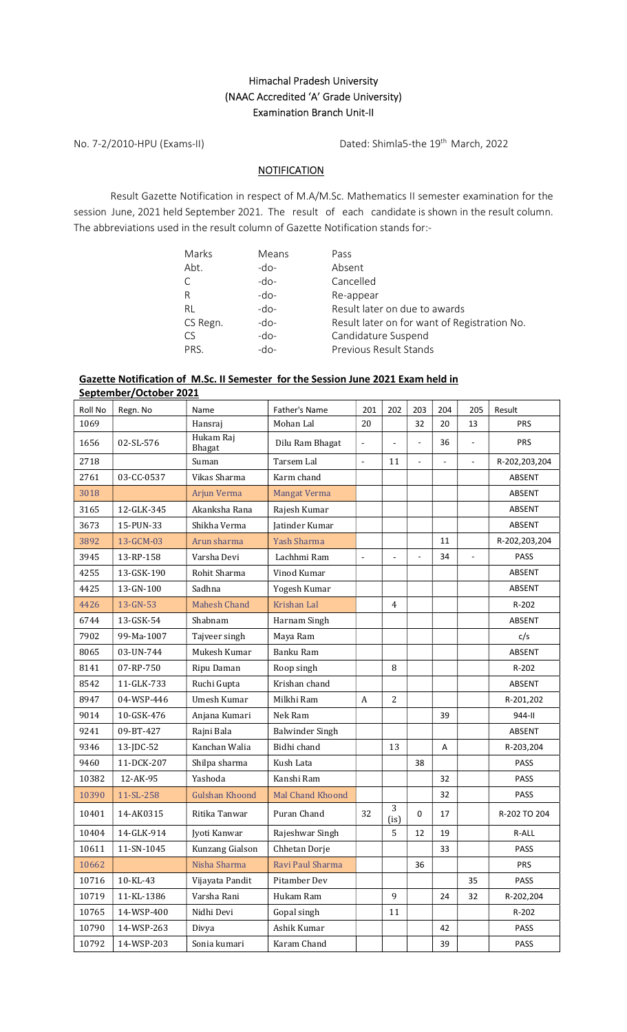## Himachal Pradesh University (NAAC Accredited 'A' Grade University) Examination Branch Unit-II

No. 7-2/2010-HPU (Exams-II) Dated: Shimla5-the 19th March, 2022

## **NOTIFICATION**

 Result Gazette Notification in respect of M.A/M.Sc. Mathematics II semester examination for the session June, 2021 held September 2021. The result of each candidate is shown in the result column. The abbreviations used in the result column of Gazette Notification stands for:-

| Marks    | Means  | Pass                                         |
|----------|--------|----------------------------------------------|
| Abt.     | -do-   | Absent                                       |
| С        | $-do-$ | Cancelled                                    |
| R        | -do-   | Re-appear                                    |
| RL       | $-do-$ | Result later on due to awards                |
| CS Regn. | -do-   | Result later on for want of Registration No. |
| CS       | $-do-$ | Candidature Suspend                          |
| PRS.     | $-do-$ | Previous Result Stands                       |

## Gazette Notification of M.Sc. II Semester for the Session June 2021 Exam held in September/October 2021

| Roll No | Regn. No   | Name                  | Father's Name          | 201                      | 202             | 203                 | 204            | 205            | Result        |
|---------|------------|-----------------------|------------------------|--------------------------|-----------------|---------------------|----------------|----------------|---------------|
| 1069    |            | Hansraj               | Mohan Lal              | 20                       |                 | 32                  | 20             | 13             | <b>PRS</b>    |
| 1656    | 02-SL-576  | Hukam Raj<br>Bhagat   | Dilu Ram Bhagat        |                          |                 | $\bar{\phantom{a}}$ | 36             | $\overline{a}$ | <b>PRS</b>    |
| 2718    |            | Suman                 | Tarsem Lal             | $\overline{a}$           | 11              | $\overline{a}$      | $\overline{a}$ | L.             | R-202,203,204 |
| 2761    | 03-CC-0537 | Vikas Sharma          | Karm chand             |                          |                 |                     |                |                | ABSENT        |
| 3018    |            | Arjun Verma           | Mangat Verma           |                          |                 |                     |                |                | ABSENT        |
| 3165    | 12-GLK-345 | Akanksha Rana         | Rajesh Kumar           |                          |                 |                     |                |                | ABSENT        |
| 3673    | 15-PUN-33  | Shikha Verma          | Jatinder Kumar         |                          |                 |                     |                |                | ABSENT        |
| 3892    | 13-GCM-03  | Arun sharma           | <b>Yash Sharma</b>     |                          |                 |                     | 11             |                | R-202,203,204 |
| 3945    | 13-RP-158  | Varsha Devi           | Lachhmi Ram            | $\overline{\phantom{a}}$ | $\mathbf{r}$    | ä,                  | 34             | $\sim$         | <b>PASS</b>   |
| 4255    | 13-GSK-190 | Rohit Sharma          | Vinod Kumar            |                          |                 |                     |                |                | ABSENT        |
| 4425    | 13-GN-100  | Sadhna                | Yogesh Kumar           |                          |                 |                     |                |                | ABSENT        |
| 4426    | 13-GN-53   | <b>Mahesh Chand</b>   | Krishan Lal            |                          | $\overline{4}$  |                     |                |                | R-202         |
| 6744    | 13-GSK-54  | Shabnam               | Harnam Singh           |                          |                 |                     |                |                | ABSENT        |
| 7902    | 99-Ma-1007 | Tajveer singh         | Maya Ram               |                          |                 |                     |                |                | c/s           |
| 8065    | 03-UN-744  | Mukesh Kumar          | Banku Ram              |                          |                 |                     |                |                | ABSENT        |
| 8141    | 07-RP-750  | Ripu Daman            | Roop singh             |                          | 8               |                     |                |                | R-202         |
| 8542    | 11-GLK-733 | Ruchi Gupta           | Krishan chand          |                          |                 |                     |                |                | ABSENT        |
| 8947    | 04-WSP-446 | Umesh Kumar           | Milkhi Ram             | $\boldsymbol{A}$         | 2               |                     |                |                | R-201,202     |
| 9014    | 10-GSK-476 | Anjana Kumari         | Nek Ram                |                          |                 |                     | 39             |                | 944-II        |
| 9241    | 09-BT-427  | Rajni Bala            | <b>Balwinder Singh</b> |                          |                 |                     |                |                | ABSENT        |
| 9346    | 13-JDC-52  | Kanchan Walia         | Bidhi chand            |                          | 13              |                     | Α              |                | R-203,204     |
| 9460    | 11-DCK-207 | Shilpa sharma         | Kush Lata              |                          |                 | 38                  |                |                | PASS          |
| 10382   | 12-AK-95   | Yashoda               | Kanshi Ram             |                          |                 |                     | 32             |                | PASS          |
| 10390   | 11-SL-258  | <b>Gulshan Khoond</b> | Mal Chand Khoond       |                          |                 |                     | 32             |                | <b>PASS</b>   |
| 10401   | 14-AK0315  | Ritika Tanwar         | Puran Chand            | 32                       | 3<br>$($ is $)$ | 0                   | 17             |                | R-202 TO 204  |
| 10404   | 14-GLK-914 | Jyoti Kanwar          | Rajeshwar Singh        |                          | 5               | 12                  | 19             |                | R-ALL         |
| 10611   | 11-SN-1045 | Kunzang Gialson       | Chhetan Dorje          |                          |                 |                     | 33             |                | PASS          |
| 10662   |            | Nisha Sharma          | Ravi Paul Sharma       |                          |                 | 36                  |                |                | <b>PRS</b>    |
| 10716   | 10-KL-43   | Vijayata Pandit       | Pitamber Dev           |                          |                 |                     |                | 35             | PASS          |
| 10719   | 11-KL-1386 | Varsha Rani           | Hukam Ram              |                          | 9               |                     | 24             | 32             | R-202,204     |
| 10765   | 14-WSP-400 | Nidhi Devi            | Gopal singh            |                          | 11              |                     |                |                | R-202         |
| 10790   | 14-WSP-263 | Divya                 | Ashik Kumar            |                          |                 |                     | 42             |                | PASS          |
| 10792   | 14-WSP-203 | Sonia kumari          | Karam Chand            |                          |                 |                     | 39             |                | PASS          |